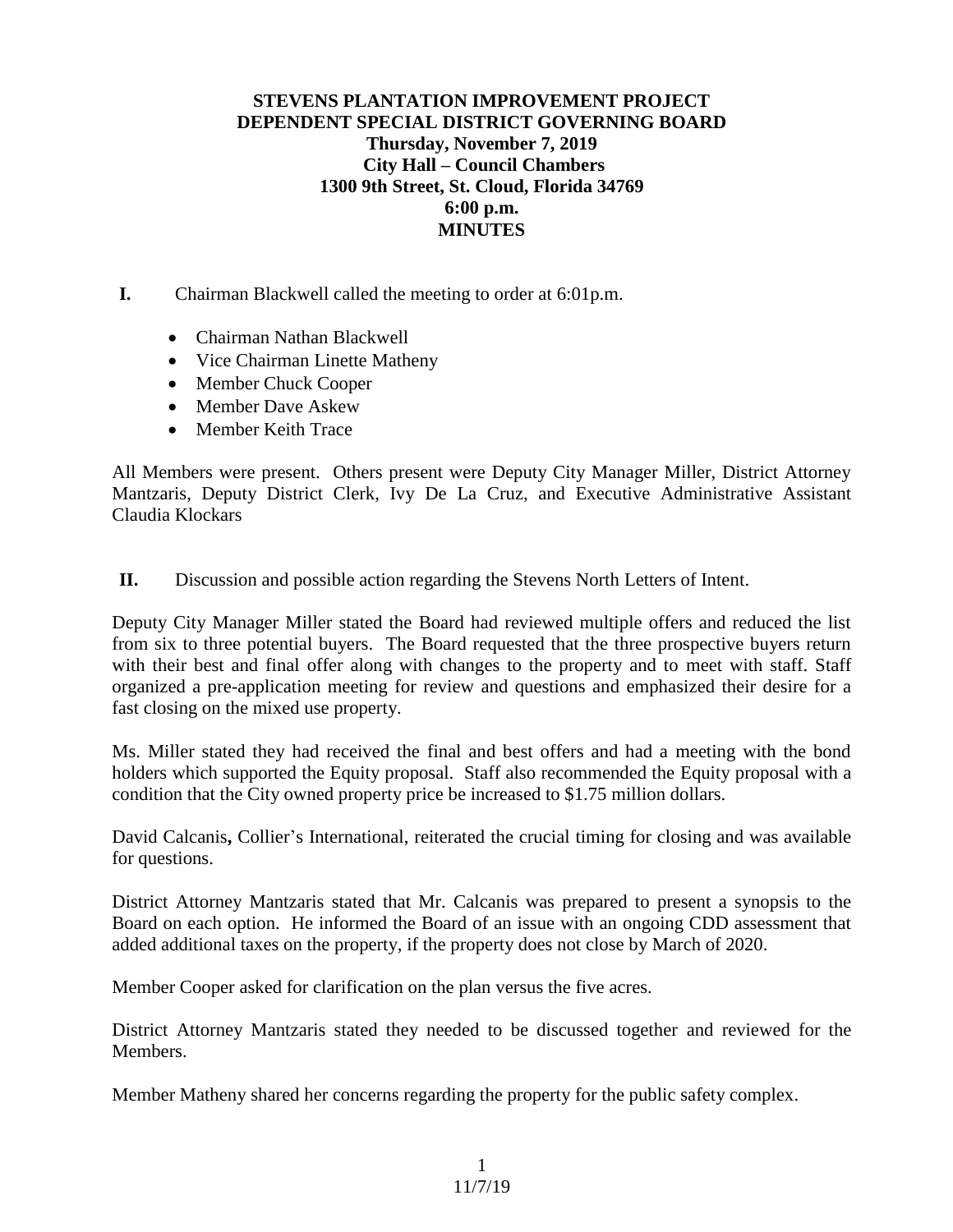## **STEVENS PLANTATION IMPROVEMENT PROJECT DEPENDENT SPECIAL DISTRICT GOVERNING BOARD Thursday, November 7, 2019 City Hall – Council Chambers 1300 9th Street, St. Cloud, Florida 34769 6:00 p.m. MINUTES**

**I.** Chairman Blackwell called the meeting to order at 6:01p.m.

- Chairman Nathan Blackwell
- Vice Chairman Linette Matheny
- Member Chuck Cooper
- Member Dave Askew
- Member Keith Trace

All Members were present. Others present were Deputy City Manager Miller, District Attorney Mantzaris, Deputy District Clerk, Ivy De La Cruz, and Executive Administrative Assistant Claudia Klockars

**II.** Discussion and possible action regarding the Stevens North Letters of Intent.

Deputy City Manager Miller stated the Board had reviewed multiple offers and reduced the list from six to three potential buyers. The Board requested that the three prospective buyers return with their best and final offer along with changes to the property and to meet with staff. Staff organized a pre-application meeting for review and questions and emphasized their desire for a fast closing on the mixed use property.

Ms. Miller stated they had received the final and best offers and had a meeting with the bond holders which supported the Equity proposal. Staff also recommended the Equity proposal with a condition that the City owned property price be increased to \$1.75 million dollars.

David Calcanis**,** Collier's International, reiterated the crucial timing for closing and was available for questions.

District Attorney Mantzaris stated that Mr. Calcanis was prepared to present a synopsis to the Board on each option. He informed the Board of an issue with an ongoing CDD assessment that added additional taxes on the property, if the property does not close by March of 2020.

Member Cooper asked for clarification on the plan versus the five acres.

District Attorney Mantzaris stated they needed to be discussed together and reviewed for the Members.

Member Matheny shared her concerns regarding the property for the public safety complex.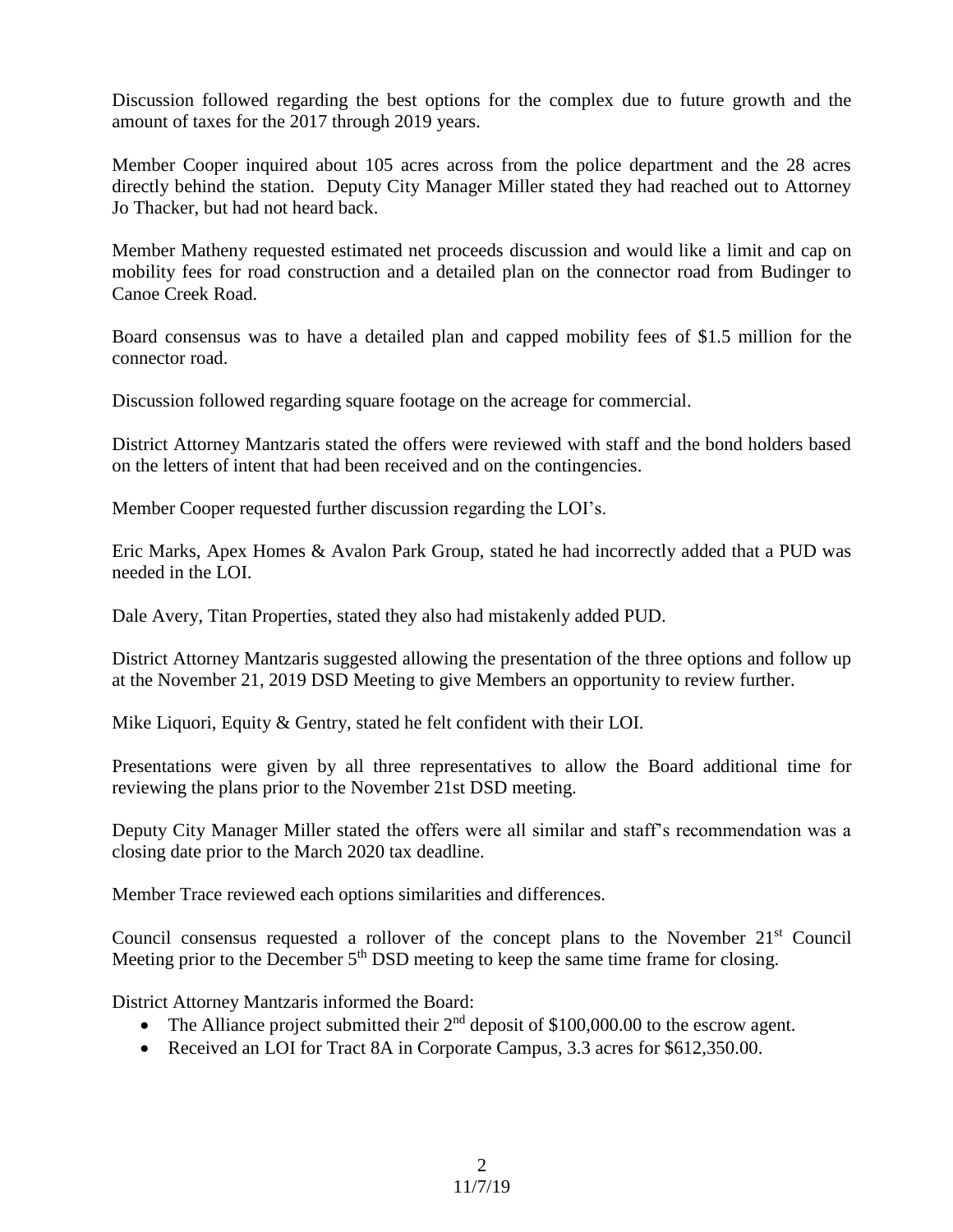Discussion followed regarding the best options for the complex due to future growth and the amount of taxes for the 2017 through 2019 years.

Member Cooper inquired about 105 acres across from the police department and the 28 acres directly behind the station. Deputy City Manager Miller stated they had reached out to Attorney Jo Thacker, but had not heard back.

Member Matheny requested estimated net proceeds discussion and would like a limit and cap on mobility fees for road construction and a detailed plan on the connector road from Budinger to Canoe Creek Road.

Board consensus was to have a detailed plan and capped mobility fees of \$1.5 million for the connector road.

Discussion followed regarding square footage on the acreage for commercial.

District Attorney Mantzaris stated the offers were reviewed with staff and the bond holders based on the letters of intent that had been received and on the contingencies.

Member Cooper requested further discussion regarding the LOI's.

Eric Marks, Apex Homes & Avalon Park Group, stated he had incorrectly added that a PUD was needed in the LOI.

Dale Avery, Titan Properties, stated they also had mistakenly added PUD.

District Attorney Mantzaris suggested allowing the presentation of the three options and follow up at the November 21, 2019 DSD Meeting to give Members an opportunity to review further.

Mike Liquori, Equity & Gentry, stated he felt confident with their LOI.

Presentations were given by all three representatives to allow the Board additional time for reviewing the plans prior to the November 21st DSD meeting.

Deputy City Manager Miller stated the offers were all similar and staff's recommendation was a closing date prior to the March 2020 tax deadline.

Member Trace reviewed each options similarities and differences.

Council consensus requested a rollover of the concept plans to the November 21<sup>st</sup> Council Meeting prior to the December  $5<sup>th</sup>$  DSD meeting to keep the same time frame for closing.

District Attorney Mantzaris informed the Board:

- The Alliance project submitted their  $2<sup>nd</sup>$  deposit of \$100,000.00 to the escrow agent.
- Received an LOI for Tract 8A in Corporate Campus, 3.3 acres for \$612,350.00.